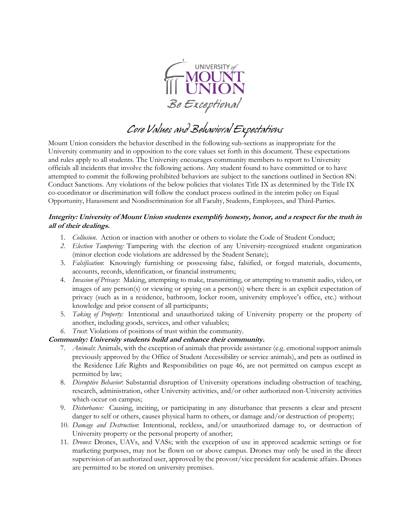

*Core Values and Behavioral Expectations*

Mount Union considers the behavior described in the following sub-sections as inappropriate for the University community and in opposition to the core values set forth in this document. These expectations and rules apply to all students. The University encourages community members to report to University officials all incidents that involve the following actions. Any student found to have committed or to have attempted to commit the following prohibited behaviors are subject to the sanctions outlined in Section 8N: Conduct Sanctions. Any violations of the below policies that violates Title IX as determined by the Title IX co-coordinator or discrimination will follow the conduct process outlined in the interim policy on Equal Opportunity, Harassment and Nondiscrimination for all Faculty, Students, Employees, and Third-Parties.

#### **Integrity: University of Mount Union students exemplify honesty, honor, and a respect for the truth in all of their dealings.**

- 1. *Collusion*. Action or inaction with another or others to violate the Code of Student Conduct;
- *2. Election Tampering:* Tampering with the election of any University-recognized student organization (minor election code violations are addressed by the Student Senate);
- 3. *Falsification*: Knowingly furnishing or possessing false, falsified, or forged materials, documents, accounts, records, identification, or financial instruments;
- 4. *Invasion of Privacy*: Making, attempting to make, transmitting, or attempting to transmit audio, video, or images of any person(s) or viewing or spying on a person(s) where there is an explicit expectation of privacy (such as in a residence, bathroom, locker room, university employee's office, etc.) without knowledge and prior consent of all participants;
- 5. *Taking of Property:* Intentional and unauthorized taking of University property or the property of another, including goods, services, and other valuables;

# *6. Trust*: Violations of positions of trust within the community.

## **Community: University students build and enhance their community.**

- 7. *Animals*: Animals, with the exception of animals that provide assistance (e.g. emotional support animals previously approved by the Office of Student Accessibility or service animals), and pets as outlined in the Residence Life Rights and Responsibilities on page 46, are not permitted on campus except as permitted by law;
- 8. *Disruptive Behavior*: Substantial disruption of University operations including obstruction of teaching, research, administration, other University activities, and/or other authorized non-University activities which occur on campus;
- 9. *Disturbance:* Causing, inciting, or participating in any disturbance that presents a clear and present danger to self or others, causes physical harm to others, or damage and/or destruction of property;
- 10. *Damage and Destruction*: Intentional, reckless, and/or unauthorized damage to, or destruction of University property or the personal property of another;
- 11. *Drones*: Drones, UAVs, and VASs; with the exception of use in approved academic settings or for marketing purposes, may not be flown on or above campus. Drones may only be used in the direct supervision of an authorized user, approved by the provost/vice president for academic affairs. Drones are permitted to be stored on university premises.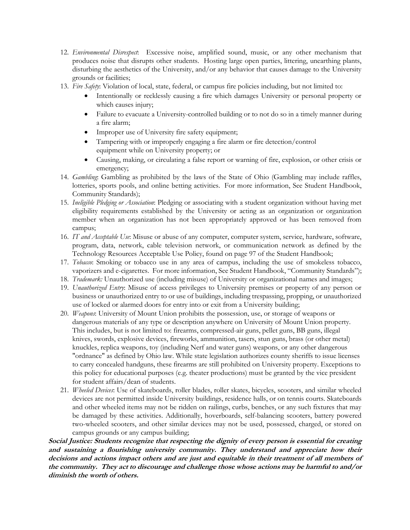- 12. *Environmental Disrespect*: Excessive noise, amplified sound, music, or any other mechanism that produces noise that disrupts other students. Hosting large open parties, littering, unearthing plants, disturbing the aesthetics of the University, and/or any behavior that causes damage to the University grounds or facilities;
- 13. *Fire Safety*: Violation of local, state, federal, or campus fire policies including, but not limited to:
	- Intentionally or recklessly causing a fire which damages University or personal property or which causes injury;
	- Failure to evacuate a University-controlled building or to not do so in a timely manner during a fire alarm;
	- Improper use of University fire safety equipment;
	- Tampering with or improperly engaging a fire alarm or fire detection/control equipment while on University property; or
	- Causing, making, or circulating a false report or warning of fire, explosion, or other crisis or emergency;
- 14. *Gambling*: Gambling as prohibited by the laws of the State of Ohio (Gambling may include raffles, lotteries, sports pools, and online betting activities. For more information, See Student Handbook, Community Standards);
- 15. *Ineligible Pledging or Association*: Pledging or associating with a student organization without having met eligibility requirements established by the University or acting as an organization or organization member when an organization has not been appropriately approved or has been removed from campus;
- 16. *IT and Acceptable Use*: Misuse or abuse of any computer, computer system, service, hardware, software, program, data, network, cable television network, or communication network as defined by the Technology Resources Acceptable Use Policy, found on page 97 of the Student Handbook;
- 17. *Tobacco*: Smoking or tobacco use in any area of campus, including the use of smokeless tobacco, vaporizers and e-cigarettes. For more information, See Student Handbook, "Community Standards");
- 18. *Trademark:* Unauthorized use (including misuse) of University or organizational names and images;
- 19. *Unauthorized Entry*: Misuse of access privileges to University premises or property of any person or business or unauthorized entry to or use of buildings, including trespassing, propping, or unauthorized use of locked or alarmed doors for entry into or exit from a University building;
- 20. *Weapons*: University of Mount Union prohibits the possession, use, or storage of weapons or dangerous materials of any type or description anywhere on University of Mount Union property. This includes, but is not limited to: firearms, compressed-air guns, pellet guns, BB guns, illegal knives, swords, explosive devices, fireworks, ammunition, tasers, stun guns, brass (or other metal) knuckles, replica weapons, toy (including Nerf and water guns) weapons, or any other dangerous "ordnance" as defined by Ohio law. While state legislation authorizes county sheriffs to issue licenses to carry concealed handguns, these firearms are still prohibited on University property. Exceptions to this policy for educational purposes (e.g. theater productions) must be granted by the vice president for student affairs/dean of students.
- 21. *Wheeled Devices*: Use of skateboards, roller blades, roller skates, bicycles, scooters, and similar wheeled devices are not permitted inside University buildings, residence halls, or on tennis courts. Skateboards and other wheeled items may not be ridden on railings, curbs, benches, or any such fixtures that may be damaged by these activities. Additionally, hoverboards, self-balancing scooters, battery powered two-wheeled scooters, and other similar devices may not be used, possessed, charged, or stored on campus grounds or any campus building;

**Social Justice: Students recognize that respecting the dignity of every person is essential for creating and sustaining a flourishing university community. They understand and appreciate how their decisions and actions impact others and are just and equitable in their treatment of all members of the community. They act to discourage and challenge those whose actions may be harmful to and/or diminish the worth of others.**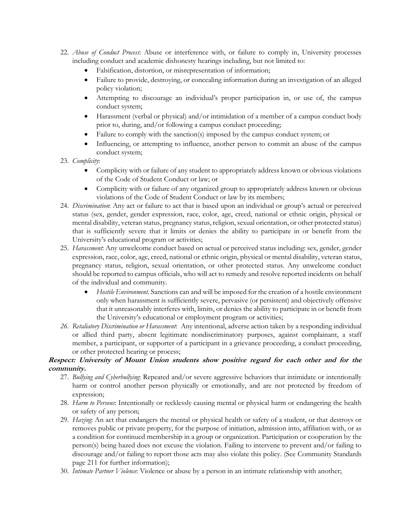- 22. *Abuse of Conduct Process*: Abuse or interference with, or failure to comply in, University processes including conduct and academic dishonesty hearings including, but not limited to:
	- Falsification, distortion, or misrepresentation of information;
	- Failure to provide, destroying, or concealing information during an investigation of an alleged policy violation;
	- Attempting to discourage an individual's proper participation in, or use of, the campus conduct system;
	- Harassment (verbal or physical) and/or intimidation of a member of a campus conduct body prior to, during, and/or following a campus conduct proceeding;
	- Failure to comply with the sanction(s) imposed by the campus conduct system; or
	- Influencing, or attempting to influence, another person to commit an abuse of the campus conduct system;
- 23. *Complicity*:
	- Complicity with or failure of any student to appropriately address known or obvious violations of the Code of Student Conduct or law; or
	- Complicity with or failure of any organized group to appropriately address known or obvious violations of the Code of Student Conduct or law by its members;
- 24. *Discrimination*: Any act or failure to act that is based upon an individual or group's actual or perceived status (sex, gender, gender expression, race, color, age, creed, national or ethnic origin, physical or mental disability, veteran status, pregnancy status, religion, sexual orientation, or other protected status) that is sufficiently severe that it limits or denies the ability to participate in or benefit from the University's educational program or activities;
- 25. *Harassment*: Any unwelcome conduct based on actual or perceived status including: sex, gender, gender expression, race, color, age, creed, national or ethnic origin, physical or mental disability, veteran status, pregnancy status, religion, sexual orientation, or other protected status. Any unwelcome conduct should be reported to campus officials, who will act to remedy and resolve reported incidents on behalf of the individual and community.
	- *Hostile Environment*. Sanctions can and will be imposed for the creation of a hostile environment only when harassment is sufficiently severe, pervasive (or persistent) and objectively offensive that it unreasonably interferes with, limits, or denies the ability to participate in or benefit from the University's educational or employment program or activities;
- *26. Retaliatory Discrimination or Harassment*: Any intentional, adverse action taken by a responding individual or allied third party, absent legitimate nondiscriminatory purposes, against complainant, a staff member, a participant, or supporter of a participant in a grievance proceeding, a conduct proceeding, or other protected hearing or process;

#### **Respect: University of Mount Union students show positive regard for each other and for the community.**

- 27. *Bullying and Cyberbullying*: Repeated and/or severe aggressive behaviors that intimidate or intentionally harm or control another person physically or emotionally, and are not protected by freedom of expression;
- 28. *Harm to Persons*: Intentionally or recklessly causing mental or physical harm or endangering the health or safety of any person;
- 29. *Hazing*: An act that endangers the mental or physical health or safety of a student, or that destroys or removes public or private property, for the purpose of initiation, admission into, affiliation with, or as a condition for continued membership in a group or organization. Participation or cooperation by the person(s) being hazed does not excuse the violation. Failing to intervene to prevent and/or failing to discourage and/or failing to report those acts may also violate this policy. (See Community Standards page 211 for further information);
- 30. *Intimate Partner Violence*: Violence or abuse by a person in an intimate relationship with another;